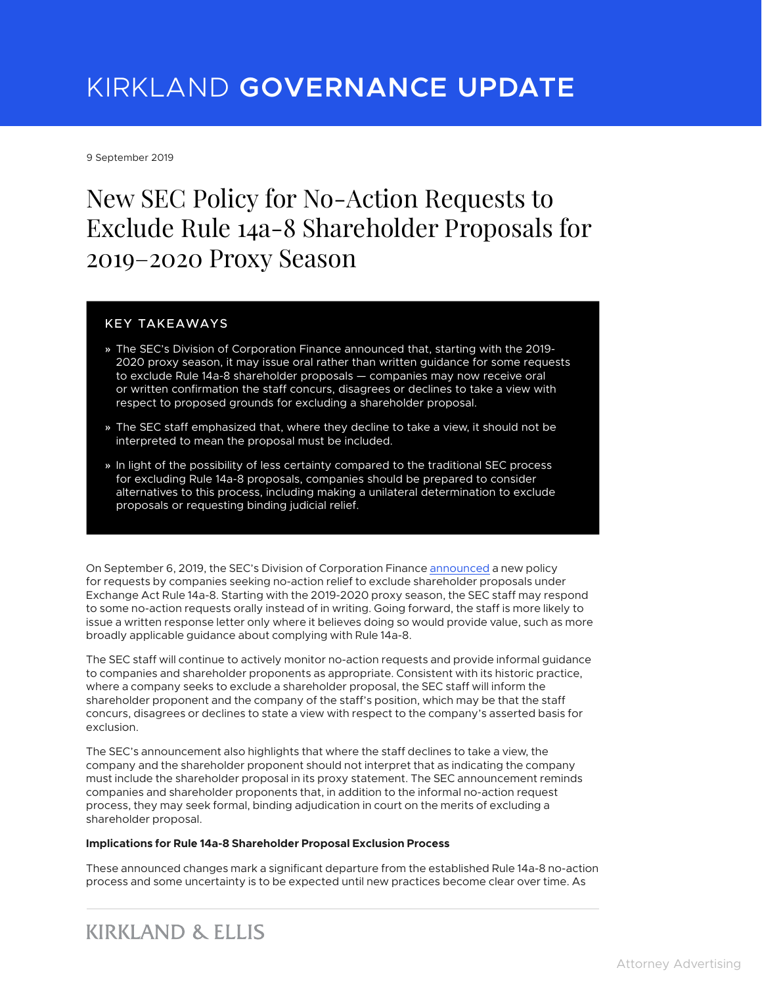# KIRKLAND **GOVERNANCE UPDATE**

9 September 2019

## New SEC Policy for No-Action Requests to Exclude Rule 14a-8 Shareholder Proposals for 2019–2020 Proxy Season

#### KEY TAKEAWAYS

- **»** The SEC's Division of Corporation Finance announced that, starting with the 2019- 2020 proxy season, it may issue oral rather than written guidance for some requests to exclude Rule 14a-8 shareholder proposals — companies may now receive oral or written confirmation the staff concurs, disagrees or declines to take a view with respect to proposed grounds for excluding a shareholder proposal.
- **»** The SEC staff emphasized that, where they decline to take a view, it should not be interpreted to mean the proposal must be included.
- **»** In light of the possibility of less certainty compared to the traditional SEC process for excluding Rule 14a-8 proposals, companies should be prepared to consider alternatives to this process, including making a unilateral determination to exclude proposals or requesting binding judicial relief.

On September 6, 2019, the SEC's Division of Corporation Finance [announced](https://www.sec.gov/corpfin/announcement/announcement-rule-14a-8-no-action-requests) a new policy for requests by companies seeking no-action relief to exclude shareholder proposals under Exchange Act Rule 14a-8. Starting with the 2019-2020 proxy season, the SEC staff may respond to some no-action requests orally instead of in writing. Going forward, the staff is more likely to issue a written response letter only where it believes doing so would provide value, such as more broadly applicable guidance about complying with Rule 14a-8.

The SEC staff will continue to actively monitor no-action requests and provide informal guidance to companies and shareholder proponents as appropriate. Consistent with its historic practice, where a company seeks to exclude a shareholder proposal, the SEC staff will inform the shareholder proponent and the company of the staff's position, which may be that the staff concurs, disagrees or declines to state a view with respect to the company's asserted basis for exclusion.

The SEC's announcement also highlights that where the staff declines to take a view, the company and the shareholder proponent should not interpret that as indicating the company must include the shareholder proposal in its proxy statement. The SEC announcement reminds companies and shareholder proponents that, in addition to the informal no-action request process, they may seek formal, binding adjudication in court on the merits of excluding a shareholder proposal.

#### **Implications for Rule 14a-8 Shareholder Proposal Exclusion Process**

These announced changes mark a significant departure from the established Rule 14a-8 no-action process and some uncertainty is to be expected until new practices become clear over time. As

### **KIRKLAND & ELLIS**